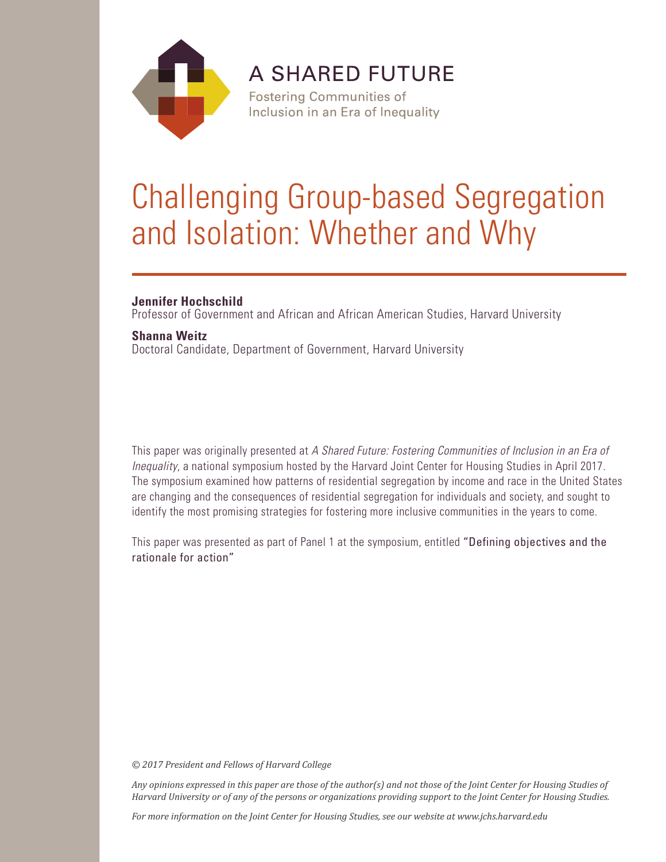

**A SHARED FUTURE** 

**Fostering Communities of** Inclusion in an Era of Inequality

# Challenging Group-based Segregation and Isolation: Whether and Why

# **Jennifer Hochschild**

Professor of Government and African and African American Studies, Harvard University

## **Shanna Weitz**

Doctoral Candidate, Department of Government, Harvard University

This paper was originally presented at *A Shared Future: Fostering Communities of Inclusion in an Era of Inequality*, a national symposium hosted by the Harvard Joint Center for Housing Studies in April 2017. The symposium examined how patterns of residential segregation by income and race in the United States are changing and the consequences of residential segregation for individuals and society, and sought to identify the most promising strategies for fostering more inclusive communities in the years to come.

This paper was presented as part of Panel 1 at the symposium, entitled "Defining objectives and the rationale for action"

*© 2017 President and Fellows of Harvard College*

*Any opinions expressed in this paper are those of the author(s) and not those of the Joint Center for Housing Studies of Harvard University or of any of the persons or organizations providing support to the Joint Center for Housing Studies.* 

*For more information on the Joint Center for Housing Studies, see our website at www.jchs.harvard.edu*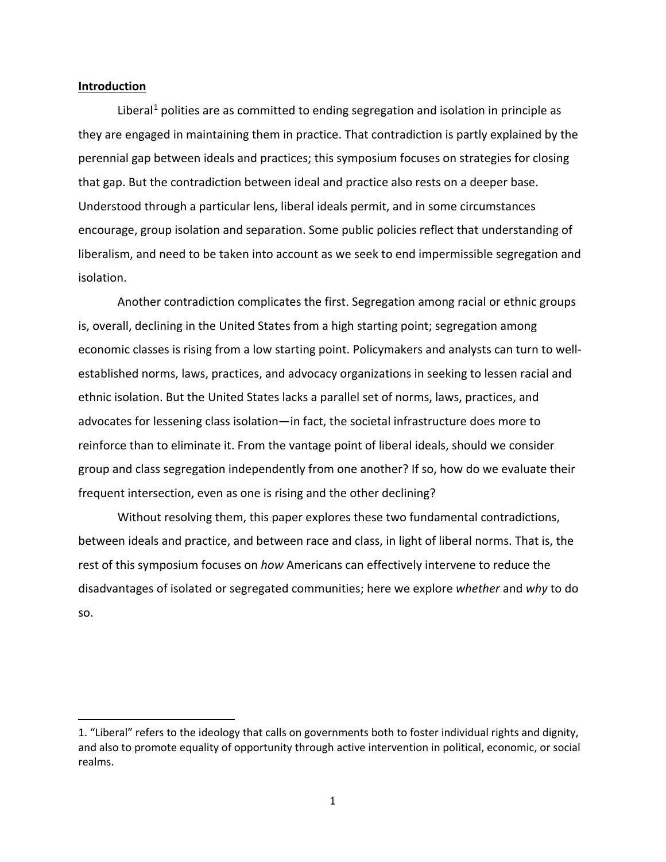#### **Introduction**

 $\overline{a}$ 

Liberal<sup>[1](#page-1-0)</sup> polities are as committed to ending segregation and isolation in principle as they are engaged in maintaining them in practice. That contradiction is partly explained by the perennial gap between ideals and practices; this symposium focuses on strategies for closing that gap. But the contradiction between ideal and practice also rests on a deeper base. Understood through a particular lens, liberal ideals permit, and in some circumstances encourage, group isolation and separation. Some public policies reflect that understanding of liberalism, and need to be taken into account as we seek to end impermissible segregation and isolation.

Another contradiction complicates the first. Segregation among racial or ethnic groups is, overall, declining in the United States from a high starting point; segregation among economic classes is rising from a low starting point. Policymakers and analysts can turn to wellestablished norms, laws, practices, and advocacy organizations in seeking to lessen racial and ethnic isolation. But the United States lacks a parallel set of norms, laws, practices, and advocates for lessening class isolation—in fact, the societal infrastructure does more to reinforce than to eliminate it. From the vantage point of liberal ideals, should we consider group and class segregation independently from one another? If so, how do we evaluate their frequent intersection, even as one is rising and the other declining?

Without resolving them, this paper explores these two fundamental contradictions, between ideals and practice, and between race and class, in light of liberal norms. That is, the rest of this symposium focuses on *how* Americans can effectively intervene to reduce the disadvantages of isolated or segregated communities; here we explore *whether* and *why* to do so.

<span id="page-1-0"></span><sup>1.</sup> "Liberal" refers to the ideology that calls on governments both to foster individual rights and dignity, and also to promote equality of opportunity through active intervention in political, economic, or social realms.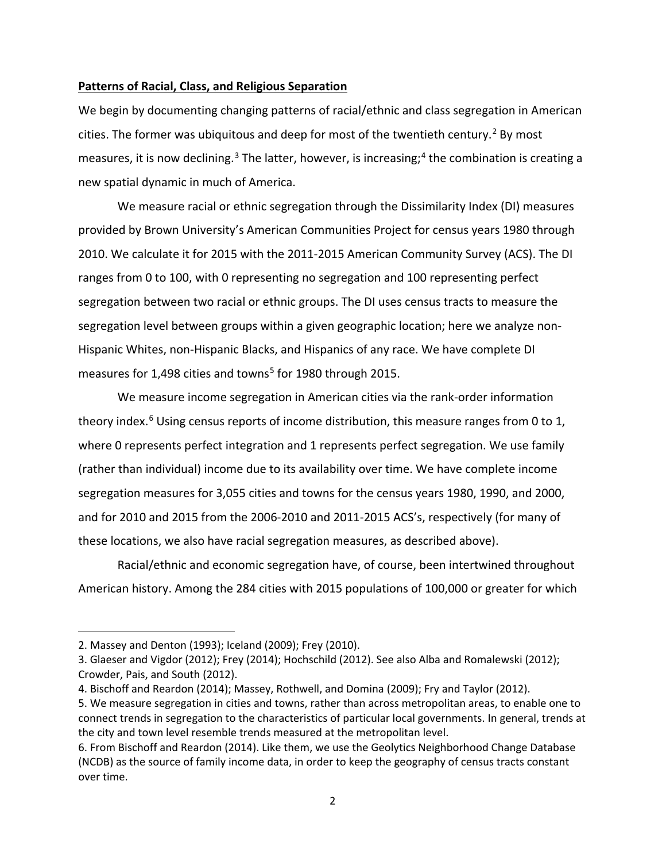### **Patterns of Racial, Class, and Religious Separation**

We begin by documenting changing patterns of racial/ethnic and class segregation in American cities. The former was ubiquitous and deep for most of the twentieth century.<sup>[2](#page-2-0)</sup> By most measures, it is now declining.<sup>[3](#page-2-1)</sup> The latter, however, is increasing;<sup>[4](#page-2-2)</sup> the combination is creating a new spatial dynamic in much of America.

We measure racial or ethnic segregation through the Dissimilarity Index (DI) measures provided by Brown University's American Communities Project for census years 1980 through 2010. We calculate it for 2015 with the 2011-2015 American Community Survey (ACS). The DI ranges from 0 to 100, with 0 representing no segregation and 100 representing perfect segregation between two racial or ethnic groups. The DI uses census tracts to measure the segregation level between groups within a given geographic location; here we analyze non-Hispanic Whites, non-Hispanic Blacks, and Hispanics of any race. We have complete DI measures for 1,498 cities and towns<sup>[5](#page-2-3)</sup> for 1980 through 2015.

We measure income segregation in American cities via the rank-order information theory index.<sup>[6](#page-2-4)</sup> Using census reports of income distribution, this measure ranges from 0 to 1, where 0 represents perfect integration and 1 represents perfect segregation. We use family (rather than individual) income due to its availability over time. We have complete income segregation measures for 3,055 cities and towns for the census years 1980, 1990, and 2000, and for 2010 and 2015 from the 2006-2010 and 2011-2015 ACS's, respectively (for many of these locations, we also have racial segregation measures, as described above).

Racial/ethnic and economic segregation have, of course, been intertwined throughout American history. Among the 284 cities with 2015 populations of 100,000 or greater for which

 $\overline{a}$ 

<span id="page-2-0"></span><sup>2.</sup> Massey and Denton (1993); Iceland (2009); Frey (2010).

<span id="page-2-1"></span><sup>3.</sup> Glaeser and Vigdor (2012); Frey (2014); Hochschild (2012). See also Alba and Romalewski (2012); Crowder, Pais, and South (2012).

<span id="page-2-2"></span><sup>4.</sup> Bischoff and Reardon (2014); Massey, Rothwell, and Domina (2009); Fry and Taylor (2012).

<span id="page-2-3"></span><sup>5.</sup> We measure segregation in cities and towns, rather than across metropolitan areas, to enable one to connect trends in segregation to the characteristics of particular local governments. In general, trends at the city and town level resemble trends measured at the metropolitan level.

<span id="page-2-4"></span><sup>6.</sup> From Bischoff and Reardon (2014). Like them, we use the Geolytics Neighborhood Change Database (NCDB) as the source of family income data, in order to keep the geography of census tracts constant over time.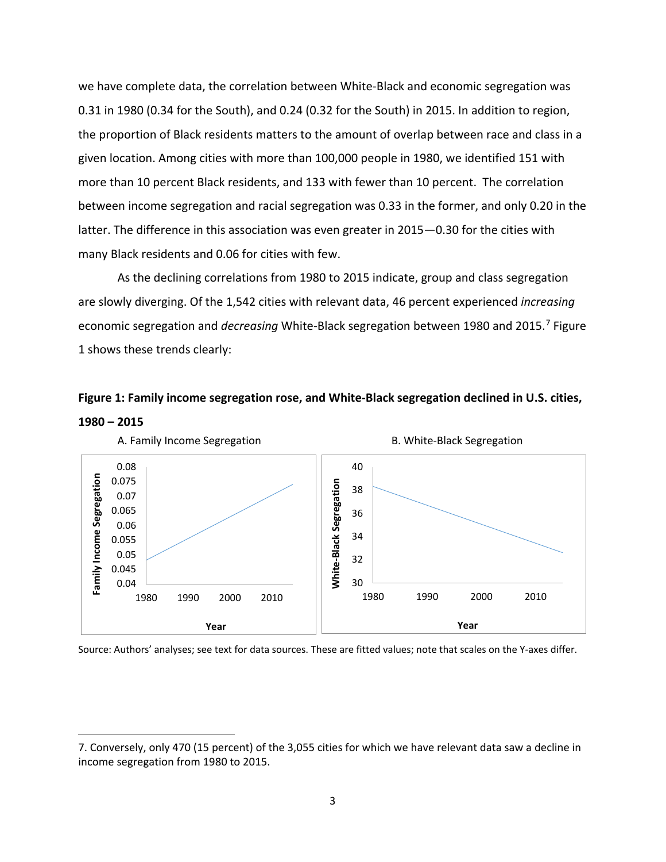we have complete data, the correlation between White-Black and economic segregation was 0.31 in 1980 (0.34 for the South), and 0.24 (0.32 for the South) in 2015. In addition to region, the proportion of Black residents matters to the amount of overlap between race and class in a given location. Among cities with more than 100,000 people in 1980, we identified 151 with more than 10 percent Black residents, and 133 with fewer than 10 percent. The correlation between income segregation and racial segregation was 0.33 in the former, and only 0.20 in the latter. The difference in this association was even greater in 2015—0.30 for the cities with many Black residents and 0.06 for cities with few.

As the declining correlations from 1980 to 2015 indicate, group and class segregation are slowly diverging. Of the 1,542 cities with relevant data, 46 percent experienced *increasing* economic segregation and *decreasing* White-Black segregation between 1980 and 2015.[7](#page-3-0) Figure 1 shows these trends clearly:





Source: Authors' analyses; see text for data sources. These are fitted values; note that scales on the Y-axes differ.

<span id="page-3-0"></span><sup>7.</sup> Conversely, only 470 (15 percent) of the 3,055 cities for which we have relevant data saw a decline in income segregation from 1980 to 2015.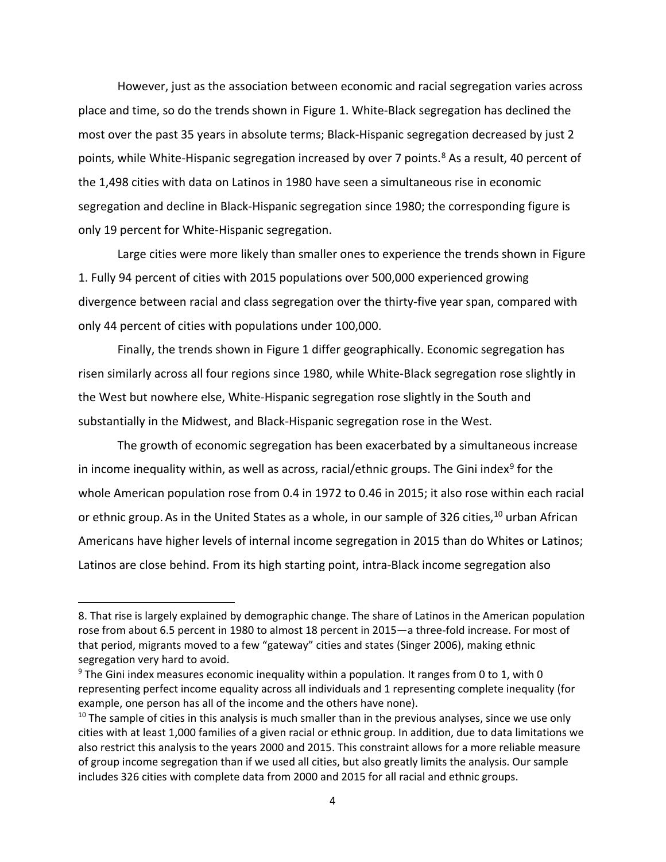However, just as the association between economic and racial segregation varies across place and time, so do the trends shown in Figure 1. White-Black segregation has declined the most over the past 35 years in absolute terms; Black-Hispanic segregation decreased by just 2 points, while White-Hispanic segregation increased by over 7 points.<sup>[8](#page-4-0)</sup> As a result, 40 percent of the 1,498 cities with data on Latinos in 1980 have seen a simultaneous rise in economic segregation and decline in Black-Hispanic segregation since 1980; the corresponding figure is only 19 percent for White-Hispanic segregation.

Large cities were more likely than smaller ones to experience the trends shown in Figure 1. Fully 94 percent of cities with 2015 populations over 500,000 experienced growing divergence between racial and class segregation over the thirty-five year span, compared with only 44 percent of cities with populations under 100,000.

Finally, the trends shown in Figure 1 differ geographically. Economic segregation has risen similarly across all four regions since 1980, while White-Black segregation rose slightly in the West but nowhere else, White-Hispanic segregation rose slightly in the South and substantially in the Midwest, and Black-Hispanic segregation rose in the West.

The growth of economic segregation has been exacerbated by a simultaneous increase in income inequality within, as well as across, racial/ethnic groups. The Gini index<sup>[9](#page-4-1)</sup> for the whole American population rose from 0.4 in 1972 to 0.46 in 2015; it also rose within each racial or ethnic group. As in the United States as a whole, in our sample of 326 cities,  $10$  urban African Americans have higher levels of internal income segregation in 2015 than do Whites or Latinos; Latinos are close behind. From its high starting point, intra-Black income segregation also

<span id="page-4-0"></span><sup>8.</sup> That rise is largely explained by demographic change. The share of Latinos in the American population rose from about 6.5 percent in 1980 to almost 18 percent in 2015—a three-fold increase. For most of that period, migrants moved to a few "gateway" cities and states (Singer 2006), making ethnic segregation very hard to avoid.

<span id="page-4-1"></span><sup>&</sup>lt;sup>9</sup> The Gini index measures economic inequality within a population. It ranges from 0 to 1, with 0 representing perfect income equality across all individuals and 1 representing complete inequality (for example, one person has all of the income and the others have none).

<span id="page-4-2"></span> $10$  The sample of cities in this analysis is much smaller than in the previous analyses, since we use only cities with at least 1,000 families of a given racial or ethnic group. In addition, due to data limitations we also restrict this analysis to the years 2000 and 2015. This constraint allows for a more reliable measure of group income segregation than if we used all cities, but also greatly limits the analysis. Our sample includes 326 cities with complete data from 2000 and 2015 for all racial and ethnic groups.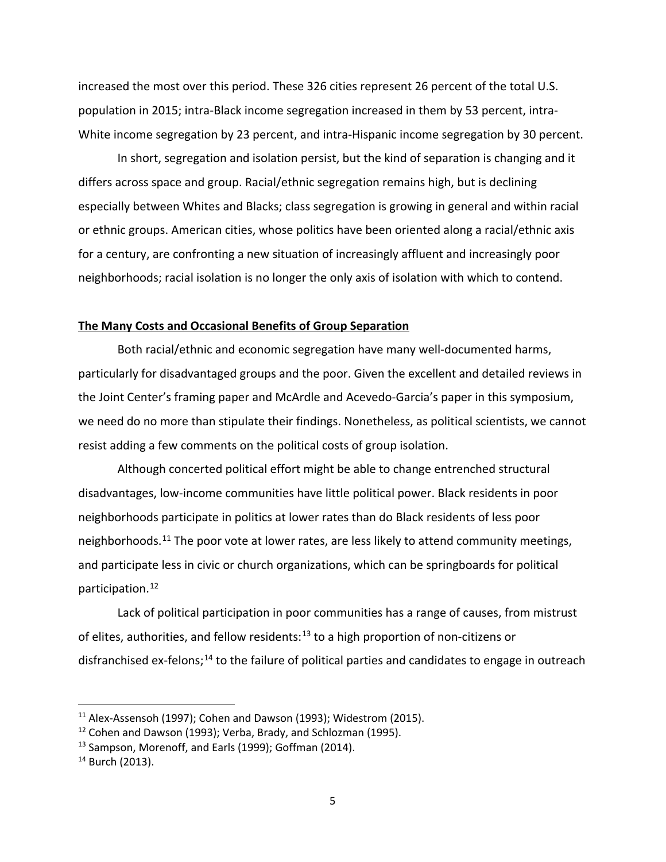increased the most over this period. These 326 cities represent 26 percent of the total U.S. population in 2015; intra-Black income segregation increased in them by 53 percent, intra-White income segregation by 23 percent, and intra-Hispanic income segregation by 30 percent.

In short, segregation and isolation persist, but the kind of separation is changing and it differs across space and group. Racial/ethnic segregation remains high, but is declining especially between Whites and Blacks; class segregation is growing in general and within racial or ethnic groups. American cities, whose politics have been oriented along a racial/ethnic axis for a century, are confronting a new situation of increasingly affluent and increasingly poor neighborhoods; racial isolation is no longer the only axis of isolation with which to contend.

## **The Many Costs and Occasional Benefits of Group Separation**

Both racial/ethnic and economic segregation have many well-documented harms, particularly for disadvantaged groups and the poor. Given the excellent and detailed reviews in the Joint Center's framing paper and McArdle and Acevedo-Garcia's paper in this symposium, we need do no more than stipulate their findings. Nonetheless, as political scientists, we cannot resist adding a few comments on the political costs of group isolation.

Although concerted political effort might be able to change entrenched structural disadvantages, low-income communities have little political power. Black residents in poor neighborhoods participate in politics at lower rates than do Black residents of less poor neighborhoods.<sup>[11](#page-5-0)</sup> The poor vote at lower rates, are less likely to attend community meetings, and participate less in civic or church organizations, which can be springboards for political participation. [12](#page-5-1)

Lack of political participation in poor communities has a range of causes, from mistrust of elites, authorities, and fellow residents:<sup>[13](#page-5-2)</sup> to a high proportion of non-citizens or disfranchised ex-felons;<sup>[14](#page-5-3)</sup> to the failure of political parties and candidates to engage in outreach

<span id="page-5-0"></span> $11$  Alex-Assensoh (1997); Cohen and Dawson (1993); Widestrom (2015).

<span id="page-5-1"></span><sup>&</sup>lt;sup>12</sup> Cohen and Dawson (1993); Verba, Brady, and Schlozman (1995).

<span id="page-5-2"></span> $13$  Sampson, Morenoff, and Earls (1999); Goffman (2014).<br> $14$  Burch (2013).

<span id="page-5-3"></span>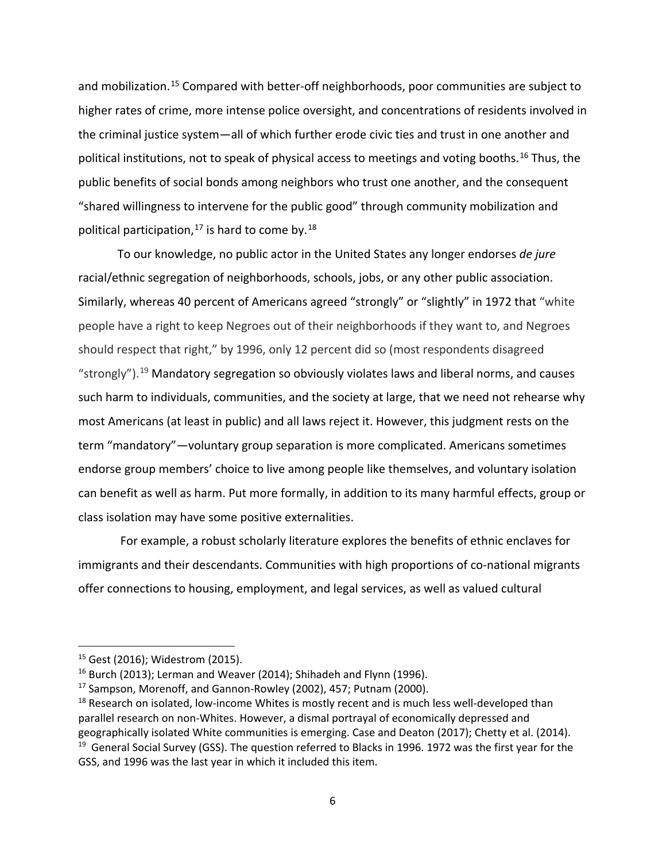and mobilization.<sup>[15](#page-6-0)</sup> Compared with better-off neighborhoods, poor communities are subject to higher rates of crime, more intense police oversight, and concentrations of residents involved in the criminal justice system—all of which further erode civic ties and trust in one another and political institutions, not to speak of physical access to meetings and voting booths. [16](#page-6-1) Thus, the public benefits of social bonds among neighbors who trust one another, and the consequent "shared willingness to intervene for the public good" through community mobilization and political participation,  $^{17}$  $^{17}$  $^{17}$  is hard to come by.  $^{18}$  $^{18}$  $^{18}$ 

To our knowledge, no public actor in the United States any longer endorses *de jure* racial/ethnic segregation of neighborhoods, schools, jobs, or any other public association. Similarly, whereas 40 percent of Americans agreed "strongly" or "slightly" in 1972 that "white people have a right to keep Negroes out of their neighborhoods if they want to, and Negroes should respect that right," by 1996, only 12 percent did so (most respondents disagreed "strongly").<sup>[19](#page-6-4)</sup> Mandatory segregation so obviously violates laws and liberal norms, and causes such harm to individuals, communities, and the society at large, that we need not rehearse why most Americans (at least in public) and all laws reject it. However, this judgment rests on the term "mandatory"—voluntary group separation is more complicated. Americans sometimes endorse group members' choice to live among people like themselves, and voluntary isolation can benefit as well as harm. Put more formally, in addition to its many harmful effects, group or class isolation may have some positive externalities.

For example, a robust scholarly literature explores the benefits of ethnic enclaves for immigrants and their descendants. Communities with high proportions of co-national migrants offer connections to housing, employment, and legal services, as well as valued cultural

<span id="page-6-0"></span><sup>15</sup> Gest (2016); Widestrom (2015).

<span id="page-6-1"></span><sup>&</sup>lt;sup>16</sup> Burch (2013); Lerman and Weaver (2014); Shihadeh and Flynn (1996).

<span id="page-6-2"></span><sup>17</sup> Sampson, Morenoff, and Gannon-Rowley (2002), 457; Putnam (2000).

<span id="page-6-4"></span><span id="page-6-3"></span> $18$  Research on isolated, low-income Whites is mostly recent and is much less well-developed than parallel research on non-Whites. However, a dismal portrayal of economically depressed and geographically isolated White communities is emerging. Case and Deaton (2017); Chetty et al. (2014).<br><sup>19</sup> General Social Survey (GSS). The question referred to Blacks in 1996. 1972 was the first year for the GSS, and 1996 was the last year in which it included this item.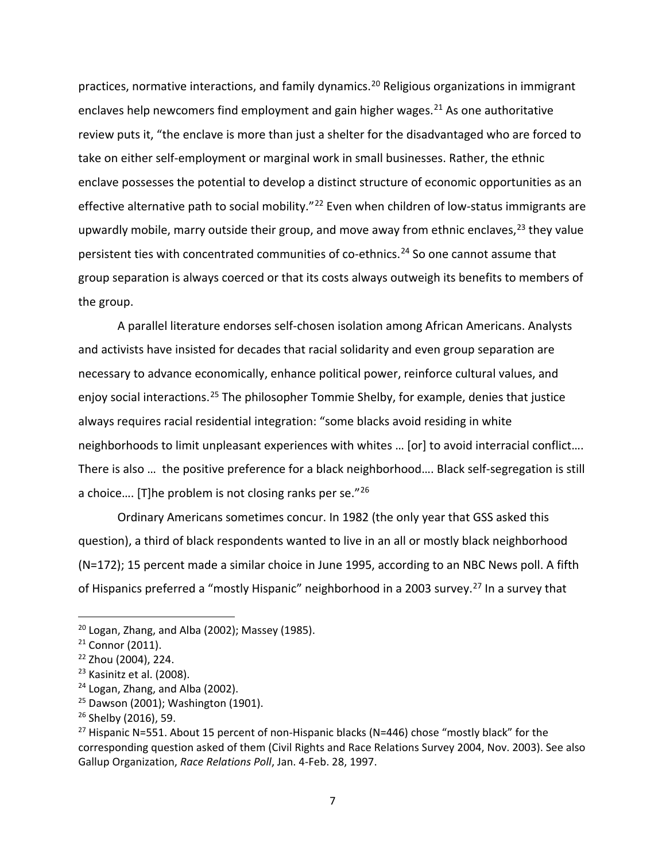practices, normative interactions, and family dynamics.<sup>[20](#page-7-0)</sup> Religious organizations in immigrant enclaves help newcomers find employment and gain higher wages.<sup>[21](#page-7-1)</sup> As one authoritative review puts it, "the enclave is more than just a shelter for the disadvantaged who are forced to take on either self-employment or marginal work in small businesses. Rather, the ethnic enclave possesses the potential to develop a distinct structure of economic opportunities as an effective alternative path to social mobility."<sup>[22](#page-7-2)</sup> Even when children of low-status immigrants are upwardly mobile, marry outside their group, and move away from ethnic enclaves,<sup>[23](#page-7-3)</sup> they value persistent ties with concentrated communities of co-ethnics.<sup>[24](#page-7-4)</sup> So one cannot assume that group separation is always coerced or that its costs always outweigh its benefits to members of the group.

A parallel literature endorses self-chosen isolation among African Americans. Analysts and activists have insisted for decades that racial solidarity and even group separation are necessary to advance economically, enhance political power, reinforce cultural values, and enjoy social interactions.<sup>[25](#page-7-5)</sup> The philosopher Tommie Shelby, for example, denies that justice always requires racial residential integration: "some blacks avoid residing in white neighborhoods to limit unpleasant experiences with whites … [or] to avoid interracial conflict…. There is also … the positive preference for a black neighborhood…. Black self-segregation is still a choice…. [T]he problem is not closing ranks per se."[26](#page-7-6)

Ordinary Americans sometimes concur. In 1982 (the only year that GSS asked this question), a third of black respondents wanted to live in an all or mostly black neighborhood (N=172); 15 percent made a similar choice in June 1995, according to an NBC News poll. A fifth of Hispanics preferred a "mostly Hispanic" neighborhood in a 2003 survey.<sup>[27](#page-7-7)</sup> In a survey that

<span id="page-7-0"></span> $20$  Logan, Zhang, and Alba (2002); Massey (1985).

<span id="page-7-2"></span><span id="page-7-1"></span> $21$  Connor (2011).<br> $22$  Zhou (2004), 224.

<span id="page-7-3"></span><sup>&</sup>lt;sup>23</sup> Kasinitz et al. (2008).

<span id="page-7-4"></span><sup>&</sup>lt;sup>24</sup> Logan, Zhang, and Alba (2002).

<span id="page-7-5"></span> $25$  Dawson (2001); Washington (1901).

<span id="page-7-6"></span><sup>&</sup>lt;sup>26</sup> Shelby (2016), 59.

<span id="page-7-7"></span><sup>&</sup>lt;sup>27</sup> Hispanic N=551. About 15 percent of non-Hispanic blacks (N=446) chose "mostly black" for the corresponding question asked of them (Civil Rights and Race Relations Survey 2004, Nov. 2003). See also Gallup Organization, *Race Relations Poll*, Jan. 4-Feb. 28, 1997.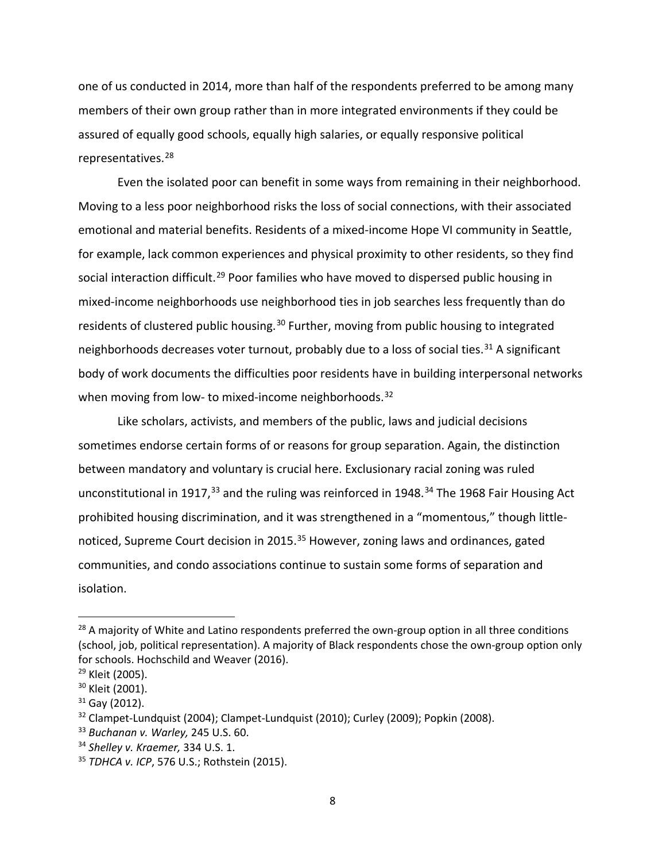one of us conducted in 2014, more than half of the respondents preferred to be among many members of their own group rather than in more integrated environments if they could be assured of equally good schools, equally high salaries, or equally responsive political representatives. [28](#page-8-0)

Even the isolated poor can benefit in some ways from remaining in their neighborhood. Moving to a less poor neighborhood risks the loss of social connections, with their associated emotional and material benefits. Residents of a mixed-income Hope VI community in Seattle, for example, lack common experiences and physical proximity to other residents, so they find social interaction difficult.<sup>[29](#page-8-1)</sup> Poor families who have moved to dispersed public housing in mixed-income neighborhoods use neighborhood ties in job searches less frequently than do residents of clustered public housing.<sup>[30](#page-8-2)</sup> Further, moving from public housing to integrated neighborhoods decreases voter turnout, probably due to a loss of social ties.<sup>[31](#page-8-3)</sup> A significant body of work documents the difficulties poor residents have in building interpersonal networks when moving from low- to mixed-income neighborhoods.<sup>32</sup>

Like scholars, activists, and members of the public, laws and judicial decisions sometimes endorse certain forms of or reasons for group separation. Again, the distinction between mandatory and voluntary is crucial here. Exclusionary racial zoning was ruled unconstitutional in 1917,<sup>[33](#page-8-5)</sup> and the ruling was reinforced in 1948.<sup>[34](#page-8-6)</sup> The 1968 Fair Housing Act prohibited housing discrimination, and it was strengthened in a "momentous," though little-noticed, Supreme Court decision in 2015.<sup>[35](#page-8-7)</sup> However, zoning laws and ordinances, gated communities, and condo associations continue to sustain some forms of separation and isolation.

<span id="page-8-0"></span><sup>&</sup>lt;sup>28</sup> A majority of White and Latino respondents preferred the own-group option in all three conditions (school, job, political representation). A majority of Black respondents chose the own-group option only for schools. Hochschild and Weaver (2016).<br>
<sup>29</sup> Kleit (2005).<br>
<sup>30</sup> Kleit (2001).<br>
<sup>31</sup> Gay (2012).<br>
<sup>32</sup> Clampet-Lundquist (2004); Clampet-Lundquist (2010); Curley (2009); Popkin (2008).

<span id="page-8-1"></span>

<span id="page-8-2"></span>

<span id="page-8-3"></span>

<span id="page-8-4"></span>

<span id="page-8-5"></span><sup>33</sup> *Buchanan v. Warley,* 245 U.S. 60.

<span id="page-8-6"></span><sup>34</sup> *Shelley v. Kraemer,* 334 U.S. 1.

<span id="page-8-7"></span><sup>35</sup> *TDHCA v. ICP*, 576 U.S.; Rothstein (2015).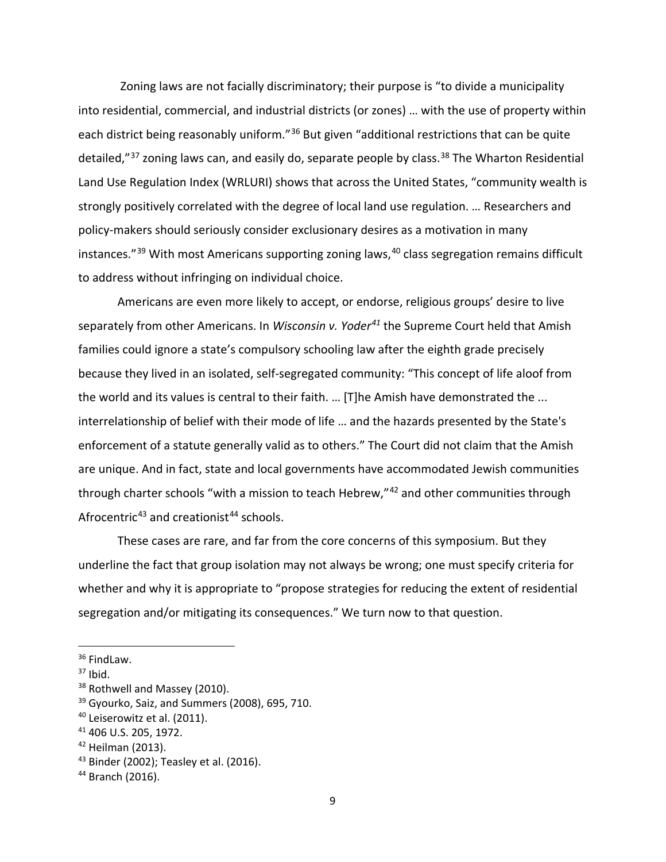Zoning laws are not facially discriminatory; their purpose is "to divide a municipality into residential, commercial, and industrial districts (or zones) … with the use of property within each district being reasonably uniform."<sup>36</sup> But given "additional restrictions that can be quite detailed,"<sup>[37](#page-9-1)</sup> zoning laws can, and easily do, separate people by class.<sup>[38](#page-9-2)</sup> The Wharton Residential Land Use Regulation Index (WRLURI) shows that across the United States, "community wealth is strongly positively correlated with the degree of local land use regulation. … Researchers and policy-makers should seriously consider exclusionary desires as a motivation in many instances."[39](#page-9-3) With most Americans supporting zoning laws, [40](#page-9-4) class segregation remains difficult to address without infringing on individual choice.

Americans are even more likely to accept, or endorse, religious groups' desire to live separately from other Americans. In *Wisconsin v. Yoder[41](#page-9-5)* the Supreme Court held that Amish families could ignore a state's compulsory schooling law after the eighth grade precisely because they lived in an isolated, self-segregated community: "This concept of life aloof from the world and its values is central to their faith. … [T]he Amish have demonstrated the ... interrelationship of belief with their mode of life … and the hazards presented by the State's enforcement of a statute generally valid as to others." The Court did not claim that the Amish are unique. And in fact, state and local governments have accommodated Jewish communities through charter schools "with a mission to teach Hebrew,"<sup>[42](#page-9-6)</sup> and other communities through Afrocentric<sup>[43](#page-9-7)</sup> and creationist<sup>[44](#page-9-8)</sup> schools.

These cases are rare, and far from the core concerns of this symposium. But they underline the fact that group isolation may not always be wrong; one must specify criteria for whether and why it is appropriate to "propose strategies for reducing the extent of residential segregation and/or mitigating its consequences." We turn now to that question.

<span id="page-9-0"></span><sup>&</sup>lt;sup>36</sup> FindLaw.

<span id="page-9-1"></span> $37$  Ibid.

<span id="page-9-2"></span><sup>38</sup> Rothwell and Massey (2010).

<span id="page-9-3"></span> $39$  Gyourko, Saiz, and Summers (2008), 695, 710.

<span id="page-9-5"></span><span id="page-9-4"></span><sup>&</sup>lt;sup>40</sup> Leiserowitz et al. (2011).<br><sup>41</sup> 406 U.S. 205, 1972.

<span id="page-9-6"></span> $42$  Heilman (2013).

<span id="page-9-7"></span><sup>43</sup> Binder (2002); Teasley et al. (2016).

<span id="page-9-8"></span><sup>44</sup> Branch (2016).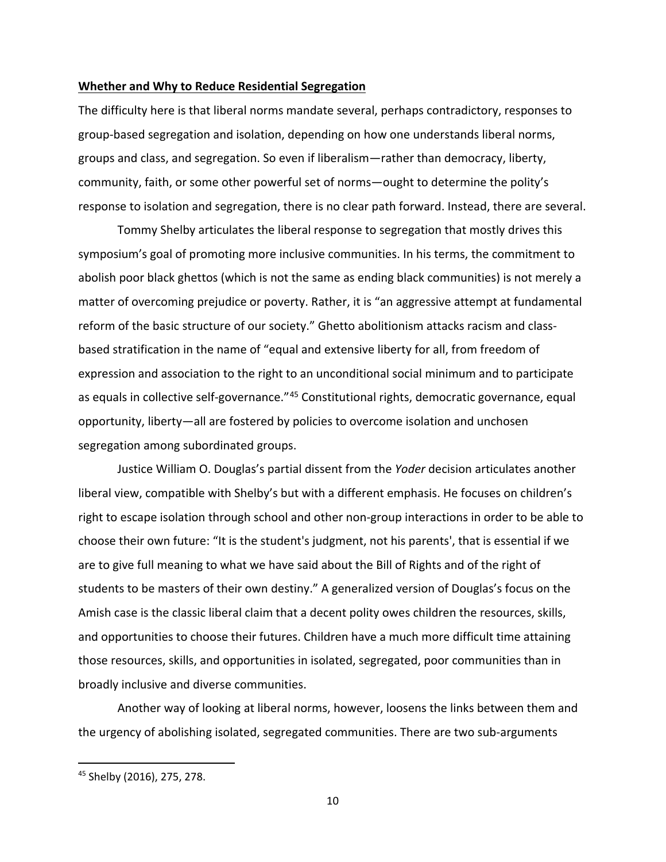#### **Whether and Why to Reduce Residential Segregation**

The difficulty here is that liberal norms mandate several, perhaps contradictory, responses to group-based segregation and isolation, depending on how one understands liberal norms, groups and class, and segregation. So even if liberalism—rather than democracy, liberty, community, faith, or some other powerful set of norms—ought to determine the polity's response to isolation and segregation, there is no clear path forward. Instead, there are several.

Tommy Shelby articulates the liberal response to segregation that mostly drives this symposium's goal of promoting more inclusive communities. In his terms, the commitment to abolish poor black ghettos (which is not the same as ending black communities) is not merely a matter of overcoming prejudice or poverty. Rather, it is "an aggressive attempt at fundamental reform of the basic structure of our society." Ghetto abolitionism attacks racism and classbased stratification in the name of "equal and extensive liberty for all, from freedom of expression and association to the right to an unconditional social minimum and to participate as equals in collective self-governance."<sup>[45](#page-10-0)</sup> Constitutional rights, democratic governance, equal opportunity, liberty—all are fostered by policies to overcome isolation and unchosen segregation among subordinated groups.

Justice William O. Douglas's partial dissent from the *Yoder* decision articulates another liberal view, compatible with Shelby's but with a different emphasis. He focuses on children's right to escape isolation through school and other non-group interactions in order to be able to choose their own future: "It is the student's judgment, not his parents', that is essential if we are to give full meaning to what we have said about the Bill of Rights and of the right of students to be masters of their own destiny." A generalized version of Douglas's focus on the Amish case is the classic liberal claim that a decent polity owes children the resources, skills, and opportunities to choose their futures. Children have a much more difficult time attaining those resources, skills, and opportunities in isolated, segregated, poor communities than in broadly inclusive and diverse communities.

Another way of looking at liberal norms, however, loosens the links between them and the urgency of abolishing isolated, segregated communities. There are two sub-arguments

10

<span id="page-10-0"></span><sup>45</sup> Shelby (2016), 275, 278.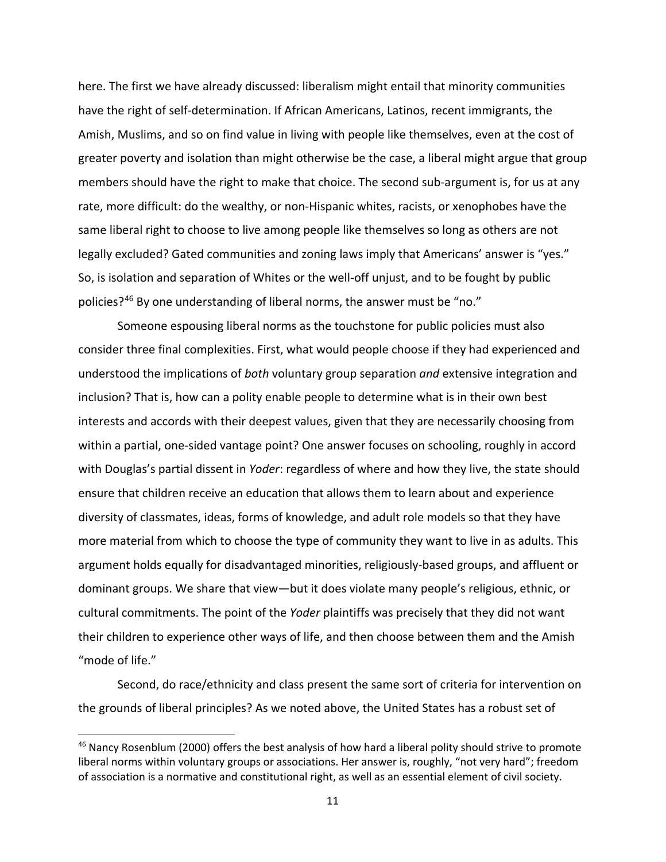here. The first we have already discussed: liberalism might entail that minority communities have the right of self-determination. If African Americans, Latinos, recent immigrants, the Amish, Muslims, and so on find value in living with people like themselves, even at the cost of greater poverty and isolation than might otherwise be the case, a liberal might argue that group members should have the right to make that choice. The second sub-argument is, for us at any rate, more difficult: do the wealthy, or non-Hispanic whites, racists, or xenophobes have the same liberal right to choose to live among people like themselves so long as others are not legally excluded? Gated communities and zoning laws imply that Americans' answer is "yes." So, is isolation and separation of Whites or the well-off unjust, and to be fought by public policies?<sup>[46](#page-11-0)</sup> By one understanding of liberal norms, the answer must be "no."

Someone espousing liberal norms as the touchstone for public policies must also consider three final complexities. First, what would people choose if they had experienced and understood the implications of *both* voluntary group separation *and* extensive integration and inclusion? That is, how can a polity enable people to determine what is in their own best interests and accords with their deepest values, given that they are necessarily choosing from within a partial, one-sided vantage point? One answer focuses on schooling, roughly in accord with Douglas's partial dissent in *Yoder*: regardless of where and how they live, the state should ensure that children receive an education that allows them to learn about and experience diversity of classmates, ideas, forms of knowledge, and adult role models so that they have more material from which to choose the type of community they want to live in as adults. This argument holds equally for disadvantaged minorities, religiously-based groups, and affluent or dominant groups. We share that view—but it does violate many people's religious, ethnic, or cultural commitments. The point of the *Yoder* plaintiffs was precisely that they did not want their children to experience other ways of life, and then choose between them and the Amish "mode of life."

Second, do race/ethnicity and class present the same sort of criteria for intervention on the grounds of liberal principles? As we noted above, the United States has a robust set of

<span id="page-11-0"></span><sup>&</sup>lt;sup>46</sup> Nancy Rosenblum (2000) offers the best analysis of how hard a liberal polity should strive to promote liberal norms within voluntary groups or associations. Her answer is, roughly, "not very hard"; freedom of association is a normative and constitutional right, as well as an essential element of civil society.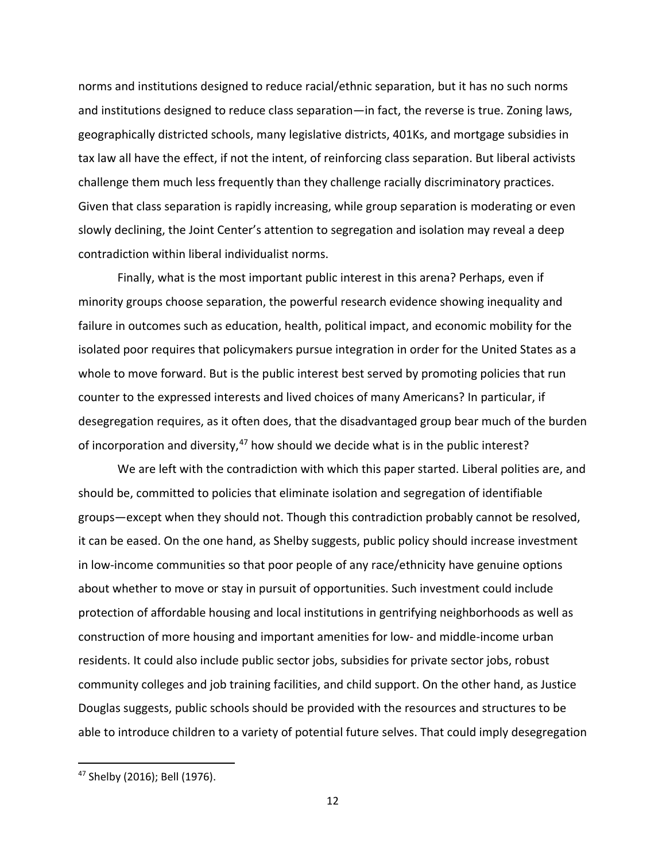norms and institutions designed to reduce racial/ethnic separation, but it has no such norms and institutions designed to reduce class separation—in fact, the reverse is true. Zoning laws, geographically districted schools, many legislative districts, 401Ks, and mortgage subsidies in tax law all have the effect, if not the intent, of reinforcing class separation. But liberal activists challenge them much less frequently than they challenge racially discriminatory practices. Given that class separation is rapidly increasing, while group separation is moderating or even slowly declining, the Joint Center's attention to segregation and isolation may reveal a deep contradiction within liberal individualist norms.

Finally, what is the most important public interest in this arena? Perhaps, even if minority groups choose separation, the powerful research evidence showing inequality and failure in outcomes such as education, health, political impact, and economic mobility for the isolated poor requires that policymakers pursue integration in order for the United States as a whole to move forward. But is the public interest best served by promoting policies that run counter to the expressed interests and lived choices of many Americans? In particular, if desegregation requires, as it often does, that the disadvantaged group bear much of the burden of incorporation and diversity,<sup>[47](#page-12-0)</sup> how should we decide what is in the public interest?

We are left with the contradiction with which this paper started. Liberal polities are, and should be, committed to policies that eliminate isolation and segregation of identifiable groups—except when they should not. Though this contradiction probably cannot be resolved, it can be eased. On the one hand, as Shelby suggests, public policy should increase investment in low-income communities so that poor people of any race/ethnicity have genuine options about whether to move or stay in pursuit of opportunities. Such investment could include protection of affordable housing and local institutions in gentrifying neighborhoods as well as construction of more housing and important amenities for low- and middle-income urban residents. It could also include public sector jobs, subsidies for private sector jobs, robust community colleges and job training facilities, and child support. On the other hand, as Justice Douglas suggests, public schools should be provided with the resources and structures to be able to introduce children to a variety of potential future selves. That could imply desegregation

<span id="page-12-0"></span><sup>47</sup> Shelby (2016); Bell (1976).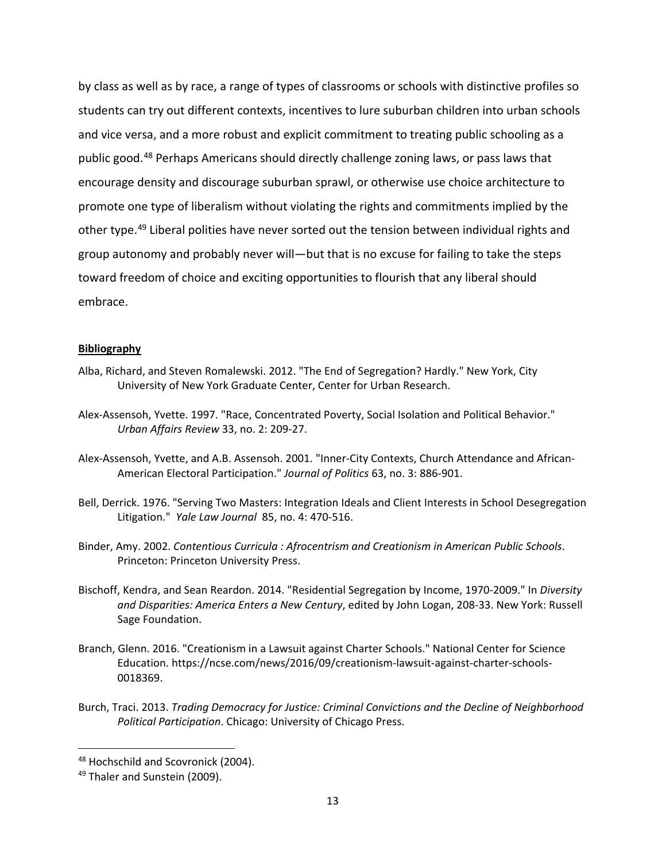by class as well as by race, a range of types of classrooms or schools with distinctive profiles so students can try out different contexts, incentives to lure suburban children into urban schools and vice versa, and a more robust and explicit commitment to treating public schooling as a public good.[48](#page-13-0) Perhaps Americans should directly challenge zoning laws, or pass laws that encourage density and discourage suburban sprawl, or otherwise use choice architecture to promote one type of liberalism without violating the rights and commitments implied by the other type.<sup>[49](#page-13-1)</sup> Liberal polities have never sorted out the tension between individual rights and group autonomy and probably never will—but that is no excuse for failing to take the steps toward freedom of choice and exciting opportunities to flourish that any liberal should embrace.

### **Bibliography**

- Alba, Richard, and Steven Romalewski. 2012. "The End of Segregation? Hardly." New York, City University of New York Graduate Center, Center for Urban Research.
- Alex-Assensoh, Yvette. 1997. "Race, Concentrated Poverty, Social Isolation and Political Behavior." *Urban Affairs Review* 33, no. 2: 209-27.
- Alex-Assensoh, Yvette, and A.B. Assensoh. 2001. "Inner-City Contexts, Church Attendance and African-American Electoral Participation." *Journal of Politics* 63, no. 3: 886-901.
- Bell, Derrick. 1976. "Serving Two Masters: Integration Ideals and Client Interests in School Desegregation Litigation." *Yale Law Journal* 85, no. 4: 470-516.
- Binder, Amy. 2002. *Contentious Curricula : Afrocentrism and Creationism in American Public Schools*. Princeton: Princeton University Press.
- Bischoff, Kendra, and Sean Reardon. 2014. "Residential Segregation by Income, 1970-2009." In *Diversity and Disparities: America Enters a New Century*, edited by John Logan, 208-33. New York: Russell Sage Foundation.
- Branch, Glenn. 2016. "Creationism in a Lawsuit against Charter Schools." National Center for Science Education. https://ncse.com/news/2016/09/creationism-lawsuit-against-charter-schools-0018369.
- Burch, Traci. 2013. *Trading Democracy for Justice: Criminal Convictions and the Decline of Neighborhood Political Participation*. Chicago: University of Chicago Press.

<span id="page-13-0"></span><sup>48</sup> Hochschild and Scovronick (2004).

<span id="page-13-1"></span><sup>49</sup> Thaler and Sunstein (2009).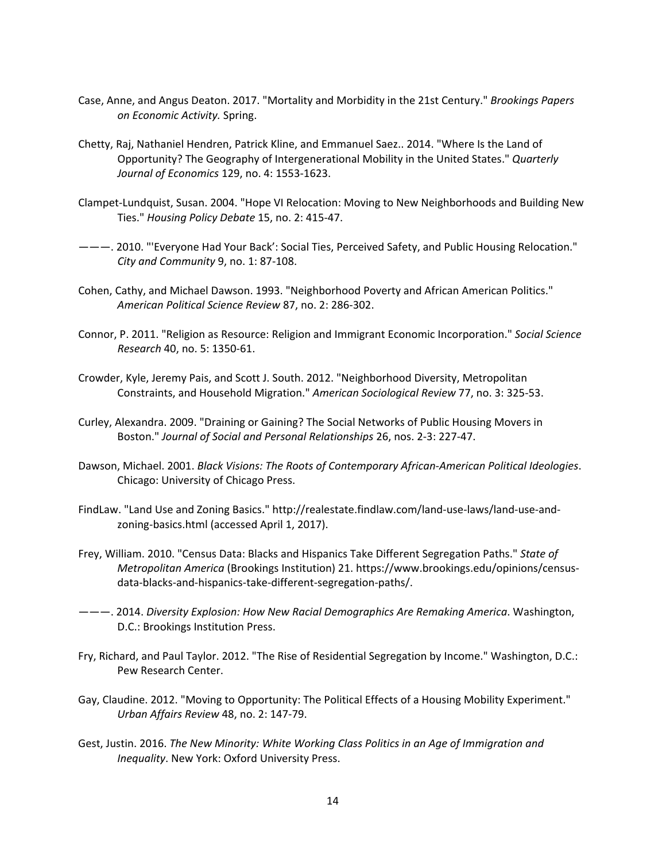- Case, Anne, and Angus Deaton. 2017. "Mortality and Morbidity in the 21st Century." *Brookings Papers on Economic Activity.* Spring.
- Chetty, Raj, Nathaniel Hendren, Patrick Kline, and Emmanuel Saez.. 2014. "Where Is the Land of Opportunity? The Geography of Intergenerational Mobility in the United States." *Quarterly Journal of Economics* 129, no. 4: 1553-1623.
- Clampet-Lundquist, Susan. 2004. "Hope VI Relocation: Moving to New Neighborhoods and Building New Ties." *Housing Policy Debate* 15, no. 2: 415-47.
- ———. 2010. "'Everyone Had Your Back': Social Ties, Perceived Safety, and Public Housing Relocation." *City and Community* 9, no. 1: 87-108.
- Cohen, Cathy, and Michael Dawson. 1993. "Neighborhood Poverty and African American Politics." *American Political Science Review* 87, no. 2: 286-302.
- Connor, P. 2011. "Religion as Resource: Religion and Immigrant Economic Incorporation." *Social Science Research* 40, no. 5: 1350-61.
- Crowder, Kyle, Jeremy Pais, and Scott J. South. 2012. "Neighborhood Diversity, Metropolitan Constraints, and Household Migration." *American Sociological Review* 77, no. 3: 325-53.
- Curley, Alexandra. 2009. "Draining or Gaining? The Social Networks of Public Housing Movers in Boston." *Journal of Social and Personal Relationships* 26, nos. 2-3: 227-47.
- Dawson, Michael. 2001. *Black Visions: The Roots of Contemporary African-American Political Ideologies*. Chicago: University of Chicago Press.
- FindLaw. "Land Use and Zoning Basics." http://realestate.findlaw.com/land-use-laws/land-use-andzoning-basics.html (accessed April 1, 2017).
- Frey, William. 2010. "Census Data: Blacks and Hispanics Take Different Segregation Paths." *State of Metropolitan America* (Brookings Institution) 21. https://www.brookings.edu/opinions/censusdata-blacks-and-hispanics-take-different-segregation-paths/.
- ———. 2014. *Diversity Explosion: How New Racial Demographics Are Remaking America*. Washington, D.C.: Brookings Institution Press.
- Fry, Richard, and Paul Taylor. 2012. "The Rise of Residential Segregation by Income." Washington, D.C.: Pew Research Center.
- Gay, Claudine. 2012. "Moving to Opportunity: The Political Effects of a Housing Mobility Experiment." *Urban Affairs Review* 48, no. 2: 147-79.
- Gest, Justin. 2016. *The New Minority: White Working Class Politics in an Age of Immigration and Inequality*. New York: Oxford University Press.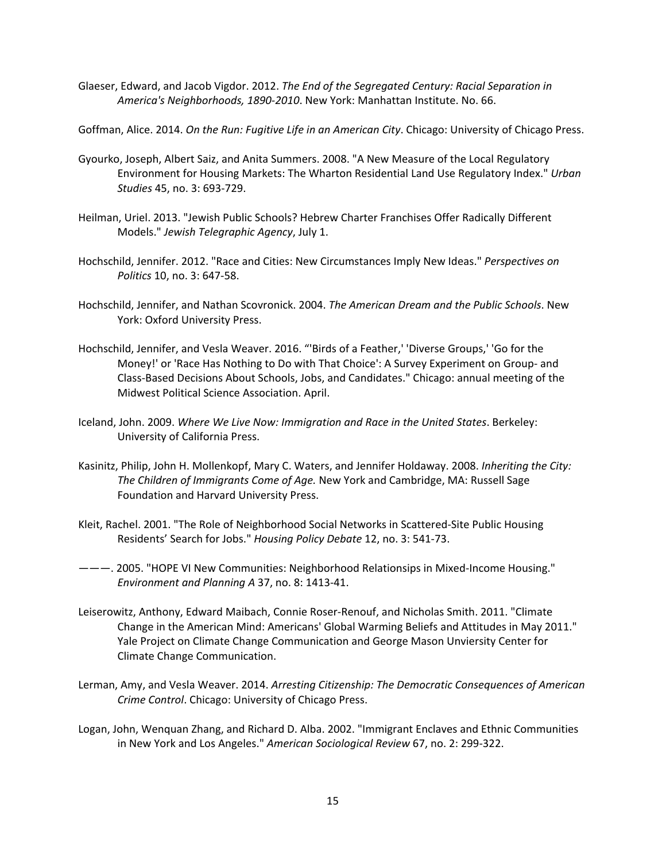Glaeser, Edward, and Jacob Vigdor. 2012. *The End of the Segregated Century: Racial Separation in America's Neighborhoods, 1890-2010*. New York: Manhattan Institute. No. 66.

Goffman, Alice. 2014. *On the Run: Fugitive Life in an American City*. Chicago: University of Chicago Press.

- Gyourko, Joseph, Albert Saiz, and Anita Summers. 2008. "A New Measure of the Local Regulatory Environment for Housing Markets: The Wharton Residential Land Use Regulatory Index." *Urban Studies* 45, no. 3: 693-729.
- Heilman, Uriel. 2013. "Jewish Public Schools? Hebrew Charter Franchises Offer Radically Different Models." *Jewish Telegraphic Agency*, July 1.
- Hochschild, Jennifer. 2012. "Race and Cities: New Circumstances Imply New Ideas." *Perspectives on Politics* 10, no. 3: 647-58.
- Hochschild, Jennifer, and Nathan Scovronick. 2004. *The American Dream and the Public Schools*. New York: Oxford University Press.
- Hochschild, Jennifer, and Vesla Weaver. 2016. "'Birds of a Feather,' 'Diverse Groups,' 'Go for the Money!' or 'Race Has Nothing to Do with That Choice': A Survey Experiment on Group- and Class-Based Decisions About Schools, Jobs, and Candidates." Chicago: annual meeting of the Midwest Political Science Association. April.
- Iceland, John. 2009. *Where We Live Now: Immigration and Race in the United States*. Berkeley: University of California Press.
- Kasinitz, Philip, John H. Mollenkopf, Mary C. Waters, and Jennifer Holdaway. 2008. *Inheriting the City: The Children of Immigrants Come of Age.* New York and Cambridge, MA: Russell Sage Foundation and Harvard University Press.
- Kleit, Rachel. 2001. "The Role of Neighborhood Social Networks in Scattered-Site Public Housing Residents' Search for Jobs." *Housing Policy Debate* 12, no. 3: 541-73.
- ———. 2005. "HOPE VI New Communities: Neighborhood Relationsips in Mixed-Income Housing." *Environment and Planning A* 37, no. 8: 1413-41.
- Leiserowitz, Anthony, Edward Maibach, Connie Roser-Renouf, and Nicholas Smith. 2011. "Climate Change in the American Mind: Americans' Global Warming Beliefs and Attitudes in May 2011." Yale Project on Climate Change Communication and George Mason Unviersity Center for Climate Change Communication.
- Lerman, Amy, and Vesla Weaver. 2014. *Arresting Citizenship: The Democratic Consequences of American Crime Control*. Chicago: University of Chicago Press.
- Logan, John, Wenquan Zhang, and Richard D. Alba. 2002. "Immigrant Enclaves and Ethnic Communities in New York and Los Angeles." *American Sociological Review* 67, no. 2: 299-322.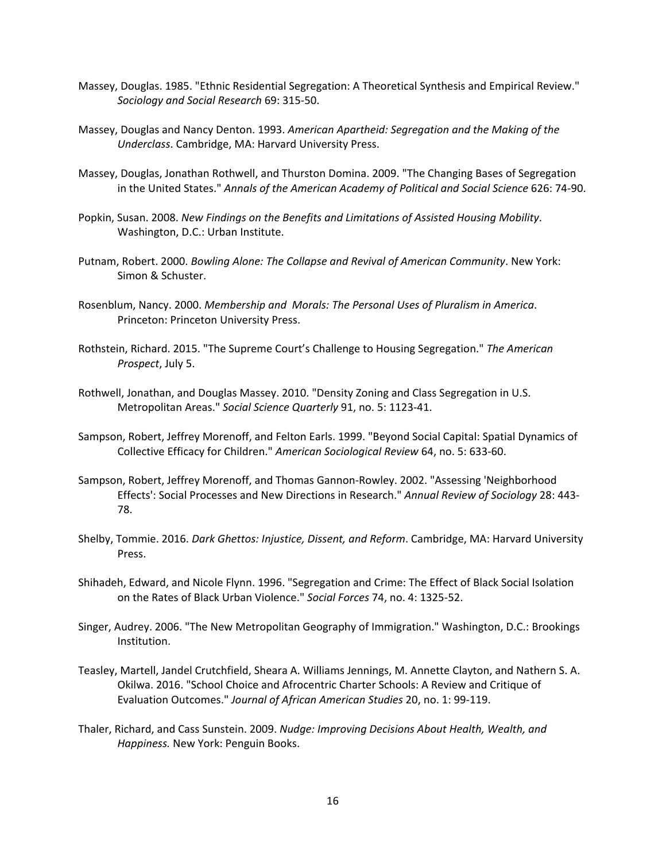- Massey, Douglas. 1985. "Ethnic Residential Segregation: A Theoretical Synthesis and Empirical Review." *Sociology and Social Research* 69: 315-50.
- Massey, Douglas and Nancy Denton. 1993. *American Apartheid: Segregation and the Making of the Underclass*. Cambridge, MA: Harvard University Press.
- Massey, Douglas, Jonathan Rothwell, and Thurston Domina. 2009. "The Changing Bases of Segregation in the United States." *Annals of the American Academy of Political and Social Science* 626: 74-90.
- Popkin, Susan. 2008. *New Findings on the Benefits and Limitations of Assisted Housing Mobility*. Washington, D.C.: Urban Institute.
- Putnam, Robert. 2000. *Bowling Alone: The Collapse and Revival of American Community*. New York: Simon & Schuster.
- Rosenblum, Nancy. 2000. *Membership and Morals: The Personal Uses of Pluralism in America*. Princeton: Princeton University Press.
- Rothstein, Richard. 2015. "The Supreme Court's Challenge to Housing Segregation." *The American Prospect*, July 5.
- Rothwell, Jonathan, and Douglas Massey. 2010. "Density Zoning and Class Segregation in U.S. Metropolitan Areas." *Social Science Quarterly* 91, no. 5: 1123-41.
- Sampson, Robert, Jeffrey Morenoff, and Felton Earls. 1999. "Beyond Social Capital: Spatial Dynamics of Collective Efficacy for Children." *American Sociological Review* 64, no. 5: 633-60.
- Sampson, Robert, Jeffrey Morenoff, and Thomas Gannon-Rowley. 2002. "Assessing 'Neighborhood Effects': Social Processes and New Directions in Research." *Annual Review of Sociology* 28: 443- 78.
- Shelby, Tommie. 2016. *Dark Ghettos: Injustice, Dissent, and Reform*. Cambridge, MA: Harvard University Press.
- Shihadeh, Edward, and Nicole Flynn. 1996. "Segregation and Crime: The Effect of Black Social Isolation on the Rates of Black Urban Violence." *Social Forces* 74, no. 4: 1325-52.
- Singer, Audrey. 2006. "The New Metropolitan Geography of Immigration." Washington, D.C.: Brookings Institution.
- Teasley, Martell, Jandel Crutchfield, Sheara A. Williams Jennings, M. Annette Clayton, and Nathern S. A. Okilwa. 2016. "School Choice and Afrocentric Charter Schools: A Review and Critique of Evaluation Outcomes." *Journal of African American Studies* 20, no. 1: 99-119.
- Thaler, Richard, and Cass Sunstein. 2009. *Nudge: Improving Decisions About Health, Wealth, and Happiness.* New York: Penguin Books.